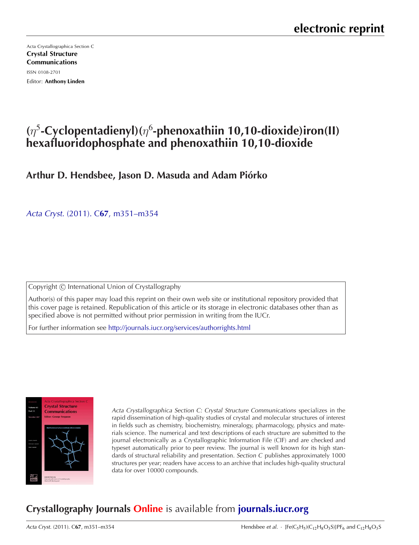Acta Crystallographica Section C [Crystal Structure](http://journals.iucr.org/c/) Communications ISSN 0108-2701 Editor: Anthony Linden

# **(**η<sup>5</sup>**-Cyclopentadienyl)(**η<sup>6</sup> **-phenoxathiin 10,10-dioxide)iron(II) hexafluoridophosphate and phenoxathiin 10,10-dioxide**

**Arthur D. Hendsbee, Jason D. Masuda and Adam Piorko ´**

Acta Cryst. (2011). C**67**[, m351–m354](http://dx.doi.org/10.1107/S0108270111042715)

Copyright © International Union of Crystallography

Author(s) of this paper may load this reprint on their own web site or institutional repository provided that this cover page is retained. Republication of this article or its storage in electronic databases other than as specified above is not permitted without prior permission in writing from the IUCr.

For further information see <http://journals.iucr.org/services/authorrights.html>



Acta Crystallographica Section C: Crystal Structure Communications specializes in the rapid dissemination of high-quality studies of crystal and molecular structures of interest in fields such as chemistry, biochemistry, mineralogy, pharmacology, physics and materials science. The numerical and text descriptions of each structure are submitted to the journal electronically as a Crystallographic Information File (CIF) and are checked and typeset automatically prior to peer review. The journal is well known for its high standards of structural reliability and presentation. Section C publishes approximately 1000 structures per year; readers have access to an archive that includes high-quality structural data for over 10000 compounds.

# **Crystallography Journals Online** is available from **[journals.iucr.org](http://journals.iucr.org)**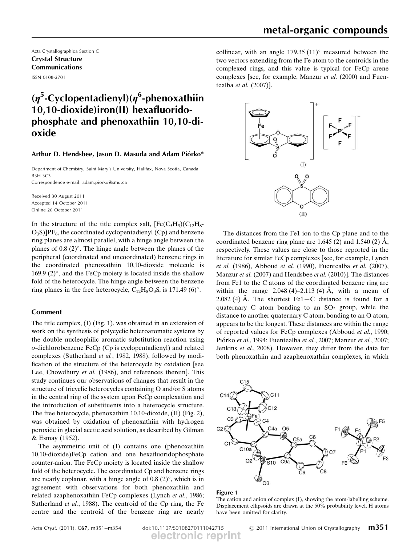Acta Crystallographica Section C Crystal Structure Communications ISSN 0108-2701

# ( $\eta^5$ -Cyclopentadienyl)( $\eta^6$ -phenoxathiin<br>10.10-dioxide)iron(II) hexafluorido-10,10-dioxide)iron(II) hexafluoridophosphate and phenoxathiin 10,10-dioxide

### Arthur D. Hendsbee, Jason D. Masuda and Adam Piórko\*

Department of Chemistry, Saint Mary's University, Halifax, Nova Scotia, Canada B3H 3C3

Correspondence e-mail: adam.piorko@smu.ca

Received 30 August 2011 Accepted 14 October 2011 Online 26 October 2011

In the structure of the title complex salt,  $[Fe(C_5H_5)(C_{12}H_8 O_3S$ ]PF<sub>6</sub>, the coordinated cyclopentadienyl (Cp) and benzene ring planes are almost parallel, with a hinge angle between the planes of  $0.8$  (2) $^{\circ}$ . The hinge angle between the planes of the peripheral (coordinated and uncoordinated) benzene rings in the coordinated phenoxathiin 10,10-dioxide molecule is 169.9  $(2)$ °, and the FeCp moiety is located inside the shallow fold of the heterocycle. The hinge angle between the benzene ring planes in the free heterocycle,  $C_{12}H_8O_3S$ , is 171.49 (6)°.

### Comment

The title complex, (I) (Fig. 1), was obtained in an extension of work on the synthesis of polycyclic heteroaromatic systems by the double nucleophilic aromatic substitution reaction using o-dichlorobenzene FeCp (Cp is cyclopentadienyl) and related complexes (Sutherland et al., 1982, 1988), followed by modification of the structure of the heterocycle by oxidation [see Lee, Chowdhury *et al.* (1986), and references therein. This study continues our observations of changes that result in the structure of tricyclic heterocycles containing O and/or S atoms in the central ring of the system upon FeCp complexation and the introduction of substituents into a heterocycle structure. The free heterocycle, phenoxathiin 10,10-dioxide, (II) (Fig. 2), was obtained by oxidation of phenoxathiin with hydrogen peroxide in glacial acetic acid solution, as described by Gilman & Esmay (1952).

The asymmetric unit of (I) contains one (phenoxathiin 10,10-dioxide)FeCp cation and one hexafluoridophosphate counter-anion. The FeCp moiety is located inside the shallow fold of the heterocycle. The coordinated Cp and benzene rings are nearly coplanar, with a hinge angle of  $0.8 \,(2)^\circ$ , which is in agreement with observations for both phenoxathiin and related azaphenoxathiin FeCp complexes (Lynch et al., 1986; Sutherland et al., 1988). The centroid of the Cp ring, the Fe centre and the centroid of the benzene ring are nearly

collinear, with an angle  $179.35 (11)^\circ$  measured between the two vectors extending from the Fe atom to the centroids in the complexed rings, and this value is typical for FeCp arene complexes [see, for example, Manzur et al. (2000) and Fuentealba et al. (2007)].



The distances from the Fe1 ion to the Cp plane and to the coordinated benzene ring plane are  $1.645$  (2) and  $1.540$  (2) A, respectively. These values are close to those reported in the literature for similar FeCp complexes [see, for example, Lynch et al. (1986), Abboud et al. (1990), Fuentealba et al. (2007), Manzur et al. (2007) and Hendsbee et al. (2010)]. The distances from Fe1 to the C atoms of the coordinated benzene ring are within the range  $2.048(4) - 2.113(4)$  Å, with a mean of 2.082 (4) A. The shortest Fe1 – C distance is found for a quaternary C atom bonding to an  $SO_2$  group, while the distance to another quaternary C atom, bonding to an O atom, appears to be the longest. These distances are within the range of reported values for FeCp complexes (Abboud et al., 1990; Piórko et al., 1994; Fuentealba et al., 2007; Manzur et al., 2007; Jenkins et al., 2008). However, they differ from the data for both phenoxathiin and azaphenoxathiin complexes, in which



#### Figure 1

The cation and anion of complex (I), showing the atom-labelling scheme. Displacement ellipsoids are drawn at the 50% probability level. H atoms have been omitted for clarity.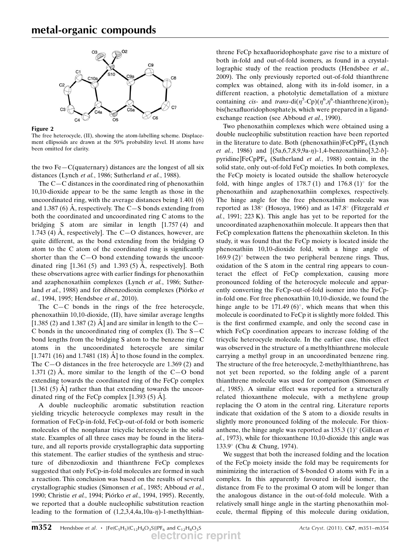

Figure 2

The free heterocycle, (II), showing the atom-labelling scheme. Displacement ellipsoids are drawn at the 50% probability level. H atoms have been omitted for clarity.

the two  $Fe-C$ (quaternary) distances are the longest of all six distances (Lynch et al., 1986; Sutherland et al., 1988).

The C—C distances in the coordinated ring of phenoxathiin 10,10-dioxide appear to be the same length as those in the uncoordinated ring, with the average distances being 1.401 (6) and 1.387 (6) A, respectively. The C $-S$  bonds extending from both the coordinated and uncoordinated ring C atoms to the bridging S atom are similar in length [1.757 (4) and 1.743 (4)  $\AA$ , respectively]. The C-O distances, however, are quite different, as the bond extending from the bridging O atom to the C atom of the coordinated ring is significantly shorter than the C—O bond extending towards the uncoordinated ring  $[1.361 (5)$  and 1.393 (5) Å, respectively]. Both these observations agree with earlier findings for phenoxathiin and azaphenoxathiin complexes (Lynch et al., 1986; Sutherland et al., 1988) and for dibenzodioxin complexes (Piórko et al., 1994, 1995; Hendsbee et al., 2010).

The C—C bonds in the rings of the free heterocycle, phenoxathiin 10,10-dioxide, (II), have similar average lengths [1.385 (2) and 1.387 (2)  $\dot{A}$ ] and are similar in length to the C-C bonds in the uncoordinated ring of complex  $(I)$ . The S-C bond lengths from the bridging S atom to the benzene ring C atoms in the uncoordinated heterocycle are similar [1.7471 (16) and 1.7481 (18)  $\AA$ ] to those found in the complex. The C—O distances in the free heterocycle are 1.369 (2) and 1.371 (2)  $\AA$ , more similar to the length of the C-O bond extending towards the coordinated ring of the FeCp complex [1.361 (5) A] rather than that extending towards the uncoordinated ring of the FeCp complex  $[1.393 (5)$  Å].

A double nucleophilic aromatic substitution reaction yielding tricyclic heterocycle complexes may result in the formation of FeCp-in-fold, FeCp-out-of-fold or both isomeric molecules of the nonplanar tricyclic heterocycle in the solid state. Examples of all three cases may be found in the literature, and all reports provide crystallographic data supporting this statement. The earlier studies of the synthesis and structure of dibenzodioxin and thianthrene FeCp complexes suggested that only FeCp-in-fold molecules are formed in such a reaction. This conclusion was based on the results of several crystallographic studies (Simonsen et al., 1985; Abboud et al., 1990; Christie et al., 1994; Piórko et al., 1994, 1995). Recently, we reported that a double nucleophilic substitution reaction leading to the formation of  $(1,2,3,4,4a,10a-\eta)$ -1-methylthian-

threne FeCp hexafluoridophosphate gave rise to a mixture of both in-fold and out-of-fold isomers, as found in a crystallographic study of the reaction products (Hendsbee et al., 2009). The only previously reported out-of-fold thianthrene complex was obtained, along with its in-fold isomer, in a different reaction, a photolytic demetallation of a mixture containing *cis*- and *trans*-di $(\eta^5$ -Cp)( $\eta^6$ , $\eta^6$ -thianthrene)(iron)<sub>2</sub> bis(hexafluoridophosphate)s, which were prepared in a ligandexchange reaction (see Abboud *et al.*, 1990).

Two phenoxathiin complexes which were obtained using a double nucleophilic substitution reaction have been reported in the literature to date. Both (phenoxathiin) $FeCpPF<sub>6</sub>$  (Lynch *et al.*, 1986) and  $[(5a, 6, 7, 8, 9, 9a - \eta) - 1, 4 - b$ enzoxathiino $[3, 2 - b]$ pyridine]FeCpPF<sub>6</sub> (Sutherland *et al.*, 1988) contain, in the solid state, only out-of-fold FeCp moieties. In both complexes, the FeCp moiety is located outside the shallow heterocycle fold, with hinge angles of 178.7 (1) and  $176.8 \,(1)^{\circ}$  for the phenoxathiin and azaphenoxathiin complexes, respectively. The hinge angle for the free phenoxathiin molecule was reported as  $138^\circ$  (Hosoya, 1966) and as  $147.8^\circ$  (Fitzgerald *et* al., 1991; 223 K). This angle has yet to be reported for the uncoordinated azaphenoxathiin molecule. It appears then that FeCp complexation flattens the phenoxathiin skeleton. In this study, it was found that the FeCp moiety is located inside the phenoxathiin 10,10-dioxide fold, with a hinge angle of  $169.9$  (2) $\degree$  between the two peripheral benzene rings. Thus, oxidation of the S atom in the central ring appears to counteract the effect of FeCp complexation, causing more pronounced folding of the heterocycle molecule and apparently converting the FeCp-out-of-fold isomer into the FeCpin-fold one. For free phenoxathiin 10,10-dioxide, we found the hinge angle to be 171.49 (6) $^{\circ}$ , which means that when this molecule is coordinated to FeCp it is slightly more folded. This is the first confirmed example, and only the second case in which FeCp coordination appears to increase folding of the tricyclic heterocycle molecule. In the earlier case, this effect was observed in the structure of a methylthianthrene molecule carrying a methyl group in an uncoordinated benzene ring. The structure of the free heterocycle, 2-methylthianthrene, has not yet been reported, so the folding angle of a parent thianthrene molecule was used for comparison (Simonsen et al., 1985). A similar effect was reported for a structurally related thioxanthene molecule, with a methylene group replacing the O atom in the central ring. Literature reports indicate that oxidation of the S atom to a dioxide results in slightly more pronounced folding of the molecule. For thioxanthene, the hinge angle was reported as  $135.3 \,(1)^{\circ}$  (Gillean *et* al., 1973), while for thioxanthene 10,10-dioxide this angle was 133.9- (Chu & Chung, 1974).

We suggest that both the increased folding and the location of the FeCp moiety inside the fold may be requirements for minimizing the interaction of S-bonded O atoms with Fe in a complex. In this apparently favoured in-fold isomer, the distance from Fe to the proximal O atom will be longer than the analogous distance in the out-of-fold molecule. With a relatively small hinge angle in the starting phenoxathiin molecule, thermal flipping of this molecule during oxidation,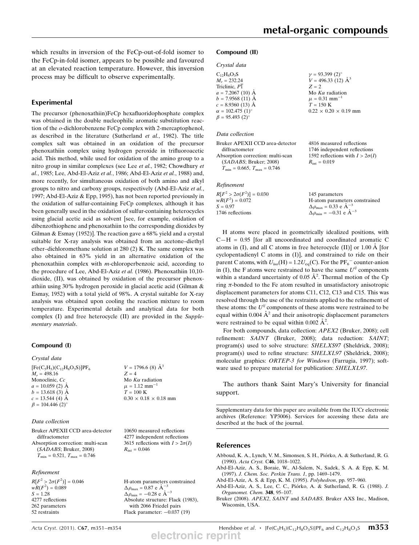which results in inversion of the FeCp-out-of-fold isomer to the FeCp-in-fold isomer, appears to be possible and favoured at an elevated reaction temperature. However, this inversion process may be difficult to observe experimentally.

## Experimental

The precursor (phenoxathiin)FeCp hexafluoridophosphate complex was obtained in the double nucleophilic aromatic substitution reaction of the o-dichlorobenzene FeCp complex with 2-mercaptophenol, as described in the literature (Sutherland et al., 1982). The title complex salt was obtained in an oxidation of the precursor phenoxathiin complex using hydrogen peroxide in trifluoroacetic acid. This method, while used for oxidation of the amino group to a nitro group in similar complexes (see Lee et al., 1982; Chowdhury et al., 1985; Lee, Abd-El-Aziz et al., 1986; Abd-El-Aziz et al., 1988) and, more recently, for simultaneous oxidation of both amino and alkyl groups to nitro and carboxy groups, respectively (Abd-El-Aziz et al., 1997; Abd-El-Aziz & Epp, 1995), has not been reported previously in the oxidation of sulfur-containing FeCp complexes, although it has been generally used in the oxidation of sulfur-containing heterocycles using glacial acetic acid as solvent [see, for example, oxidation of dibenzothiophene and phenoxathiin to the corresponding dioxides by Gilman & Esmay (1952)]. The reaction gave a 68% yield and a crystal suitable for X-ray analysis was obtained from an acetone–diethyl ether–dichloromethane solution at 280 (2) K. The same complex was also obtained in 63% yield in an alternative oxidation of the phenoxathiin complex with m-chloroperbenzoic acid, according to the procedure of Lee, Abd-El-Aziz et al. (1986). Phenoxathiin 10,10 dioxide, (II), was obtained by oxidation of the precursor phenoxathiin using 30% hydrogen peroxide in glacial acetic acid (Gilman & Esmay, 1952) with a total yield of 98%. A crystal suitable for X-ray analysis was obtained upon cooling the reaction mixture to room temperature. Experimental details and analytical data for both complex (I) and free heterocycle (II) are provided in the Supplementary materials.

#### Compound (I)

#### Crystal data

 $[Fe(C<sub>5</sub>H<sub>5</sub>)(C<sub>12</sub>H<sub>8</sub>O<sub>3</sub>S)]PF<sub>6</sub>$  $M_r = 498.16$ Monoclinic, Cc  $a = 10.059$  (2)  $\AA$  $b = 13.618(3)$  Å  $c = 13.544(4)$  A  $\beta = 104.446$  (2)<sup>o</sup>

### Data collection

Bruker APEXII CCD area-detector diffractometer Absorption correction: multi-scan (SADABS; Bruker, 2008)  $T_{\text{min}} = 0.521, T_{\text{max}} = 0.746$ 

#### Refinement

 $R[F^2 > 2\sigma(F^2)] = 0.046$  $wR(F^2) = 0.089$  $S = 1.28$ 4277 reflections 262 parameters 52 restraints

Mo  $K\alpha$  radiation  $\mu = 1.12$  mm<sup>-1</sup>  $T = 100$  K  $0.30 \times 0.18 \times 0.18$  mm

 $V = 1796.6$  (8)  $\AA^3$ 

 $Z = 4$ 

10650 measured reflections 4277 independent reflections 3615 reflections with  $I > 2\sigma(I)$  $R_{\text{int}} = 0.046$ 

H-atom parameters constrained  $\Delta \rho_{\text{max}} = 0.87 \text{ e A}^{-3}$  $\Delta \rho_{\rm min} = -0.28 \text{ e A}^{-3}$ Absolute structure: Flack (1983), with 2066 Friedel pairs Flack parameter:  $-0.037$  (19)

#### Crystal data  $C_{12}H_8O_3S$  $M = 232.24$ Triclinic,  $P\overline{1}$  $a = 7.2067$  (10)  $\AA$  $b = 7.9568(11)$  Å  $c = 8.9360(13)$  Å  $\alpha = 102.475 \ (1)^{\circ}$  $\gamma = 93.399 \ (2)^{\circ}$  $V = 496.33(12)$  Å<sup>3</sup>  $Z = 2$ Mo  $K\alpha$  radiation  $\mu = 0.31$  mm<sup>-1</sup>  $T = 150$  K  $0.22 \times 0.20 \times 0.19$  mm

#### Data collection

 $\beta = 95.493$  (2)<sup>o</sup>

| 4816 measured reflections              |
|----------------------------------------|
| 1746 independent reflections           |
| 1592 reflections with $I > 2\sigma(I)$ |
| $R_{\text{int}} = 0.019$               |
|                                        |
|                                        |

Refinement

| $R[F^2 > 2\sigma(F^2)] = 0.030$ | 145 parameters                                     |
|---------------------------------|----------------------------------------------------|
| $wR(F^2) = 0.072$               | H-atom parameters constrained                      |
| $S = 0.97$                      | $\Delta \rho_{\text{max}} = 0.33 \text{ e A}^{-3}$ |
| 1746 reflections                | $\Delta \rho_{\text{min}} = -0.31$ e $\AA^{-3}$    |
|                                 |                                                    |

H atoms were placed in geometrically idealized positions, with  $C-H = 0.95$  [for all uncoordinated and coordinated aromatic C atoms in (I), and all C atoms in free heterocycle (II)] or  $1.00 \text{ Å}$  [for cyclopentadienyl C atoms in (I)], and constrained to ride on their parent C atoms, with  $U_{\text{iso}}(H) = 1.2 U_{\text{eq}}(C)$ . For the PF<sub>6</sub><sup>-</sup> counter-anion in (I), the F atoms were restrained to have the same  $U^{ij}$  components within a standard uncertainty of 0.05  $\AA^2$ . Thermal motion of the Cp ring  $\pi$ -bonded to the Fe atom resulted in unsatisfactory anisotropic displacement parameters for atoms C11, C12, C13 and C15. This was resolved through the use of the restraints applied to the refinement of these atoms: the  $U^{ij}$  components of these atoms were restrained to be equal within 0.004  $A^2$  and their anisotropic displacement parameters were restrained to be equal within 0.002  $\AA^2$ .

For both compounds, data collection: APEX2 (Bruker, 2008); cell refinement: SAINT (Bruker, 2008); data reduction: SAINT; program(s) used to solve structure: SHELXS97 (Sheldrick, 2008); program(s) used to refine structure: SHELXL97 (Sheldrick, 2008); molecular graphics: ORTEP-3 for Windows (Farrugia, 1997); software used to prepare material for publication: SHELXL97.

The authors thank Saint Mary's University for financial support.

Supplementary data for this paper are available from the IUCr electronic archives (Reference: YP3006). Services for accessing these data are described at the back of the journal.

#### References

- Abboud, K. A., Lynch, V. M., Simonsen, S. H., Piórko, A. & Sutherland, R. G. (1990). Acta Cryst. C46, 1018–1022.
- Abd-El-Aziz, A. S., Boraie, W., Al-Salem, N., Sadek, S. A. & Epp, K. M. (1997). J. Chem. Soc. Perkin Trans. 1, pp. 1469–1479.
- Abd-El-Aziz, A. S. & Epp, K. M. (1995). Polyhedron, pp. 957–960.
- Abd-El-Aziz, A. S., Lee, C. C., Pio´rko, A. & Sutherland, R. G. (1988). J. Organomet. Chem. 348, 95–107.

Bruker (2008). APEX2, SAINT and SADABS. Bruker AXS Inc., Madison, Wisconsin, USA.

Acta Cryst. (2011). C67, m351–m354 **Hendsbee et al.**  $\cdot$  [Fe(C<sub>5</sub>H<sub>5</sub>)(C<sub>12</sub>H<sub>8</sub>O<sub>3</sub>S)]PF<sub>6</sub> and C<sub>12</sub>H<sub>8</sub>O<sub>3</sub>S **m353 electronic reprint**